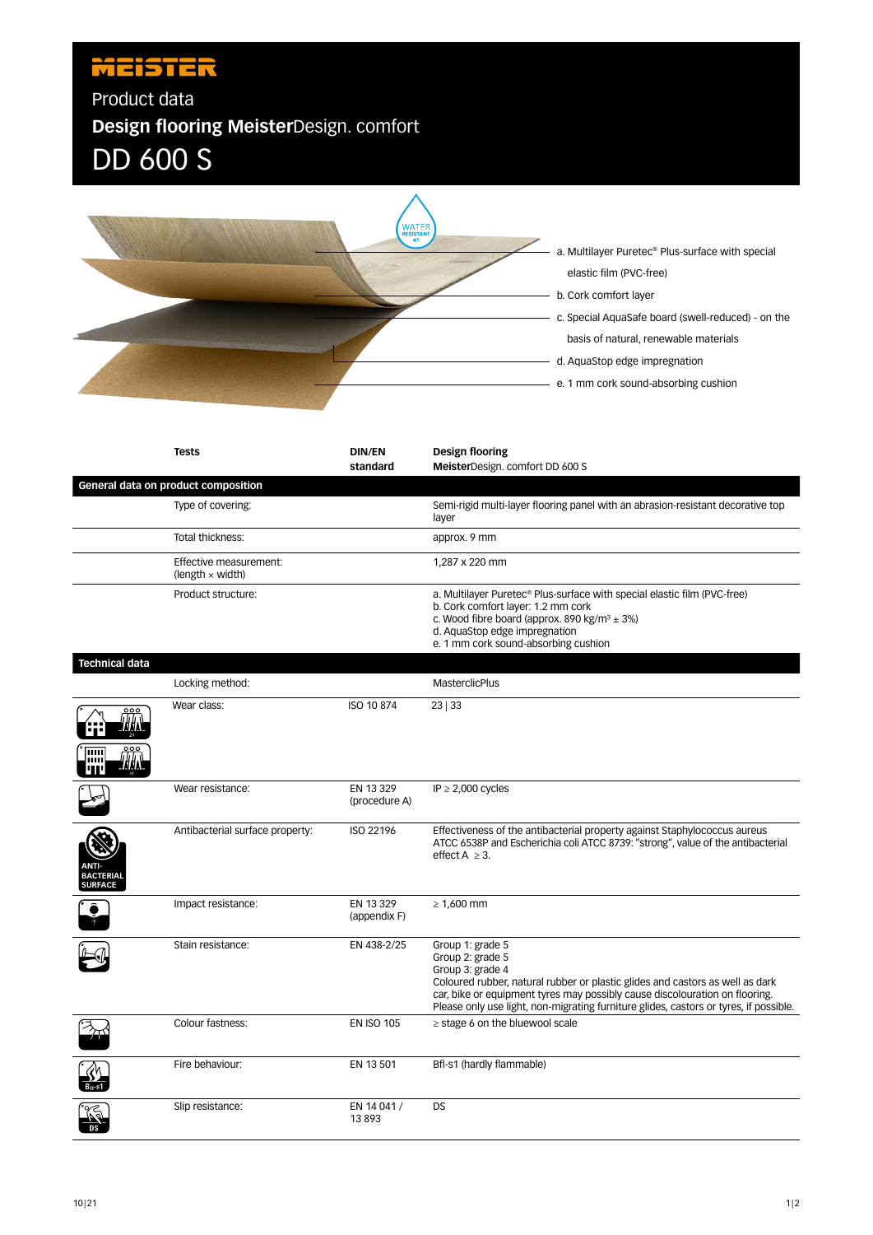## **MEISTER**

Product data **Design flooring Meister**Design. comfort DD 600 S



|                                           | <b>Tests</b>                                      | <b>DIN/EN</b><br>standard  | Design flooring<br>MeisterDesign. comfort DD 600 S                                                                                                                                                                                                                                                                |
|-------------------------------------------|---------------------------------------------------|----------------------------|-------------------------------------------------------------------------------------------------------------------------------------------------------------------------------------------------------------------------------------------------------------------------------------------------------------------|
|                                           | General data on product composition               |                            |                                                                                                                                                                                                                                                                                                                   |
|                                           | Type of covering:                                 |                            | Semi-rigid multi-layer flooring panel with an abrasion-resistant decorative top<br>layer                                                                                                                                                                                                                          |
|                                           | Total thickness:                                  |                            | approx. 9 mm                                                                                                                                                                                                                                                                                                      |
|                                           | Effective measurement:<br>(length $\times$ width) |                            | 1,287 x 220 mm                                                                                                                                                                                                                                                                                                    |
|                                           | Product structure:                                |                            | a. Multilayer Puretec <sup>®</sup> Plus-surface with special elastic film (PVC-free)<br>b. Cork comfort layer: 1.2 mm cork<br>c. Wood fibre board (approx. 890 kg/m <sup>3</sup> $\pm$ 3%)<br>d. AquaStop edge impregnation<br>e. 1 mm cork sound-absorbing cushion                                               |
| <b>Technical data</b>                     |                                                   |                            |                                                                                                                                                                                                                                                                                                                   |
|                                           | Locking method:                                   |                            | MasterclicPlus                                                                                                                                                                                                                                                                                                    |
|                                           | Wear class:                                       | ISO 10 874                 | 23 33                                                                                                                                                                                                                                                                                                             |
|                                           |                                                   |                            |                                                                                                                                                                                                                                                                                                                   |
|                                           | Wear resistance:                                  | EN 13 329<br>(procedure A) | IP $\geq$ 2,000 cycles                                                                                                                                                                                                                                                                                            |
| NTI-<br><b>BACTERIA</b><br><b>SURFACE</b> | Antibacterial surface property:                   | ISO 22196                  | Effectiveness of the antibacterial property against Staphylococcus aureus<br>ATCC 6538P and Escherichia coli ATCC 8739: "strong", value of the antibacterial<br>effect $A \geq 3$ .                                                                                                                               |
|                                           | Impact resistance:                                | EN 13 329<br>(appendix F)  | $\geq 1,600$ mm                                                                                                                                                                                                                                                                                                   |
|                                           | Stain resistance:                                 | EN 438-2/25                | Group 1: grade 5<br>Group 2: grade 5<br>Group 3: grade 4<br>Coloured rubber, natural rubber or plastic glides and castors as well as dark<br>car, bike or equipment tyres may possibly cause discolouration on flooring.<br>Please only use light, non-migrating furniture glides, castors or tyres, if possible. |
|                                           | Colour fastness:                                  | <b>EN ISO 105</b>          | $\ge$ stage 6 on the bluewool scale                                                                                                                                                                                                                                                                               |
|                                           | Fire behaviour:                                   | EN 13 501                  | Bfl-s1 (hardly flammable)                                                                                                                                                                                                                                                                                         |
|                                           | Slip resistance:                                  | EN 14 041 /<br>13893       | DS                                                                                                                                                                                                                                                                                                                |